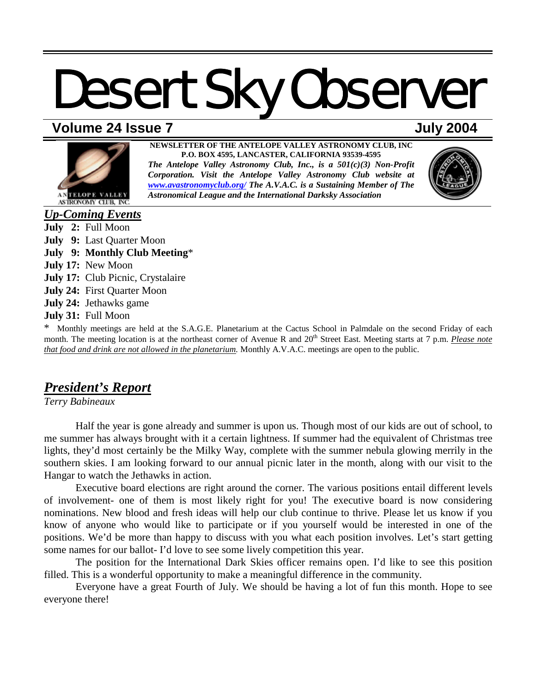# **Volume 24 Issue 7 July 2004**



**NEWSLETTER OF THE ANTELOPE VALLEY ASTRONOMY CLUB, INC P.O. BOX 4595, LANCASTER, CALIFORNIA 93539-4595**  *The Antelope Valley Astronomy Club, Inc., is a 501(c)(3) Non-Profit* 

*Corporation. Visit the Antelope Valley Astronomy Club website at [www.avastronomyclub.org/](http://www.avastronomyclub.org/) The A.V.A.C. is a Sustaining Member of The Astronomical League and the International Darksky Association*



*Up-Coming Events* **July 2:** Full Moon **July 9:** Last Quarter Moon **July 9: Monthly Club Meeting**\* **July 17:** New Moon **July 17:** Club Picnic, Crystalaire **July 24:** First Quarter Moon **July 24:** Jethawks game **July 31:** Full Moon

\* Monthly meetings are held at the S.A.G.E. Planetarium at the Cactus School in Palmdale on the second Friday of each month. The meeting location is at the northeast corner of Avenue R and 20<sup>th</sup> Street East. Meeting starts at 7 p.m. *Please note that food and drink are not allowed in the planetarium.* Monthly A.V.A.C. meetings are open to the public.

# *President's Report*

*Terry Babineaux* 

 Half the year is gone already and summer is upon us. Though most of our kids are out of school, to me summer has always brought with it a certain lightness. If summer had the equivalent of Christmas tree lights, they'd most certainly be the Milky Way, complete with the summer nebula glowing merrily in the southern skies. I am looking forward to our annual picnic later in the month, along with our visit to the Hangar to watch the Jethawks in action.

 Executive board elections are right around the corner. The various positions entail different levels of involvement- one of them is most likely right for you! The executive board is now considering nominations. New blood and fresh ideas will help our club continue to thrive. Please let us know if you know of anyone who would like to participate or if you yourself would be interested in one of the positions. We'd be more than happy to discuss with you what each position involves. Let's start getting some names for our ballot- I'd love to see some lively competition this year.

 The position for the International Dark Skies officer remains open. I'd like to see this position filled. This is a wonderful opportunity to make a meaningful difference in the community.

 Everyone have a great Fourth of July. We should be having a lot of fun this month. Hope to see everyone there!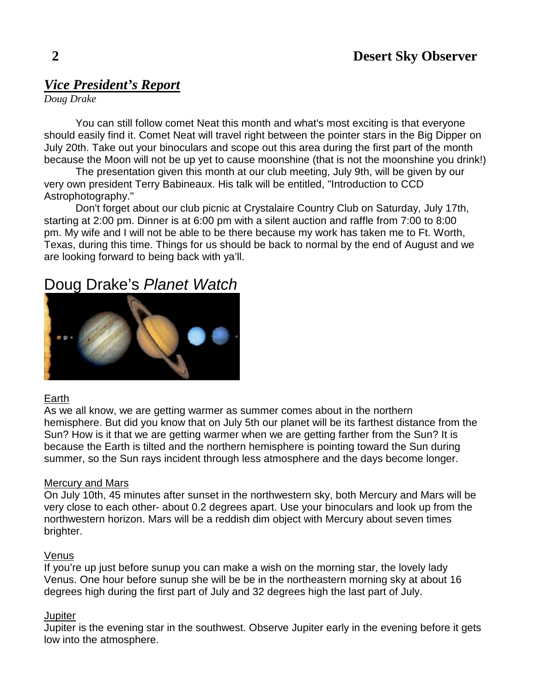# *Vice President's Report*

*Doug Drake* 

 You can still follow comet Neat this month and what's most exciting is that everyone should easily find it. Comet Neat will travel right between the pointer stars in the Big Dipper on July 20th. Take out your binoculars and scope out this area during the first part of the month because the Moon will not be up yet to cause moonshine (that is not the moonshine you drink!)

 The presentation given this month at our club meeting, July 9th, will be given by our very own president Terry Babineaux. His talk will be entitled, "Introduction to CCD Astrophotography."

 Don't forget about our club picnic at Crystalaire Country Club on Saturday, July 17th, starting at 2:00 pm. Dinner is at 6:00 pm with a silent auction and raffle from 7:00 to 8:00 pm. My wife and I will not be able to be there because my work has taken me to Ft. Worth, Texas, during this time. Things for us should be back to normal by the end of August and we are looking forward to being back with ya'll.

# Doug Drake's *Planet Watch*



## Earth

As we all know, we are getting warmer as summer comes about in the northern hemisphere. But did you know that on July 5th our planet will be its farthest distance from the Sun? How is it that we are getting warmer when we are getting farther from the Sun? It is because the Earth is tilted and the northern hemisphere is pointing toward the Sun during summer, so the Sun rays incident through less atmosphere and the days become longer.

## Mercury and Mars

On July 10th, 45 minutes after sunset in the northwestern sky, both Mercury and Mars will be very close to each other- about 0.2 degrees apart. Use your binoculars and look up from the northwestern horizon. Mars will be a reddish dim object with Mercury about seven times brighter.

## Venus

If you're up just before sunup you can make a wish on the morning star, the lovely lady Venus. One hour before sunup she will be be in the northeastern morning sky at about 16 degrees high during the first part of July and 32 degrees high the last part of July.

## **Jupiter**

Jupiter is the evening star in the southwest. Observe Jupiter early in the evening before it gets low into the atmosphere.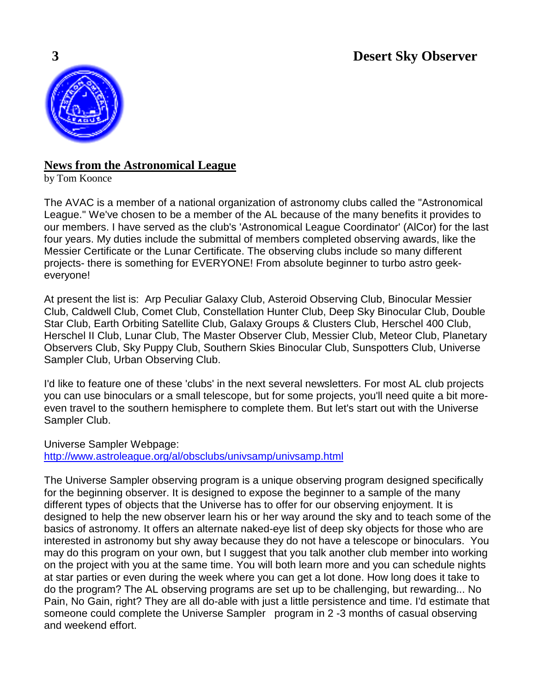

# **News from the Astronomical League**

by Tom Koonce

The AVAC is a member of a national organization of astronomy clubs called the "Astronomical League." We've chosen to be a member of the AL because of the many benefits it provides to our members. I have served as the club's 'Astronomical League Coordinator' (AlCor) for the last four years. My duties include the submittal of members completed observing awards, like the Messier Certificate or the Lunar Certificate. The observing clubs include so many different projects- there is something for EVERYONE! From absolute beginner to turbo astro geekeveryone!

At present the list is: Arp Peculiar Galaxy Club, Asteroid Observing Club, Binocular Messier Club, Caldwell Club, Comet Club, Constellation Hunter Club, Deep Sky Binocular Club, Double Star Club, Earth Orbiting Satellite Club, Galaxy Groups & Clusters Club, Herschel 400 Club, Herschel II Club, Lunar Club, The Master Observer Club, Messier Club, Meteor Club, Planetary Observers Club, Sky Puppy Club, Southern Skies Binocular Club, Sunspotters Club, Universe Sampler Club, Urban Observing Club.

I'd like to feature one of these 'clubs' in the next several newsletters. For most AL club projects you can use binoculars or a small telescope, but for some projects, you'll need quite a bit moreeven travel to the southern hemisphere to complete them. But let's start out with the Universe Sampler Club.

Universe Sampler Webpage: <http://www.astroleague.org/al/obsclubs/univsamp/univsamp.html>

The Universe Sampler observing program is a unique observing program designed specifically for the beginning observer. It is designed to expose the beginner to a sample of the many different types of objects that the Universe has to offer for our observing enjoyment. It is designed to help the new observer learn his or her way around the sky and to teach some of the basics of astronomy. It offers an alternate naked-eye list of deep sky objects for those who are interested in astronomy but shy away because they do not have a telescope or binoculars. You may do this program on your own, but I suggest that you talk another club member into working on the project with you at the same time. You will both learn more and you can schedule nights at star parties or even during the week where you can get a lot done. How long does it take to do the program? The AL observing programs are set up to be challenging, but rewarding... No Pain, No Gain, right? They are all do-able with just a little persistence and time. I'd estimate that someone could complete the Universe Sampler program in 2 -3 months of casual observing and weekend effort.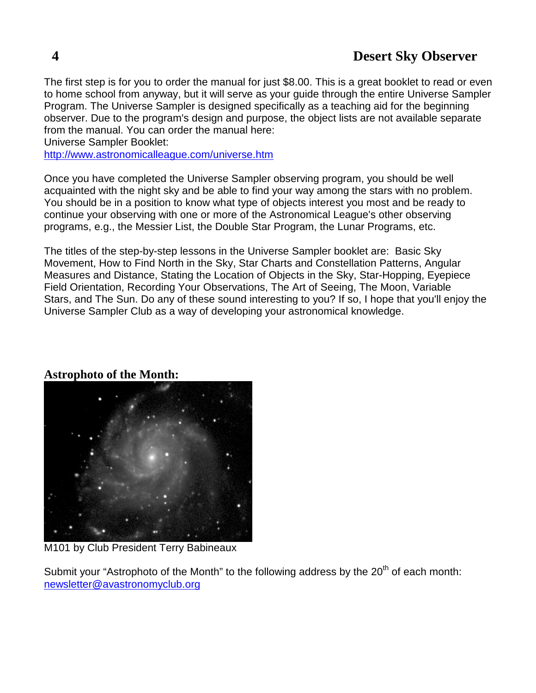The first step is for you to order the manual for just \$8.00. This is a great booklet to read or even to home school from anyway, but it will serve as your guide through the entire Universe Sampler Program. The Universe Sampler is designed specifically as a teaching aid for the beginning observer. Due to the program's design and purpose, the object lists are not available separate from the manual. You can order the manual here:

Universe Sampler Booklet:

<http://www.astronomicalleague.com/universe.htm>

Once you have completed the Universe Sampler observing program, you should be well acquainted with the night sky and be able to find your way among the stars with no problem. You should be in a position to know what type of objects interest you most and be ready to continue your observing with one or more of the Astronomical League's other observing programs, e.g., the Messier List, the Double Star Program, the Lunar Programs, etc.

The titles of the step-by-step lessons in the Universe Sampler booklet are: Basic Sky Movement, How to Find North in the Sky, Star Charts and Constellation Patterns, Angular Measures and Distance, Stating the Location of Objects in the Sky, Star-Hopping, Eyepiece Field Orientation, Recording Your Observations, The Art of Seeing, The Moon, Variable Stars, and The Sun. Do any of these sound interesting to you? If so, I hope that you'll enjoy the Universe Sampler Club as a way of developing your astronomical knowledge.

## **Astrophoto of the Month:**



M101 by Club President Terry Babineaux

Submit your "Astrophoto of the Month" to the following address by the 20<sup>th</sup> of each month: [newsletter@avastronomyclub.org](mailto:newsletter@avastronomyclub.org)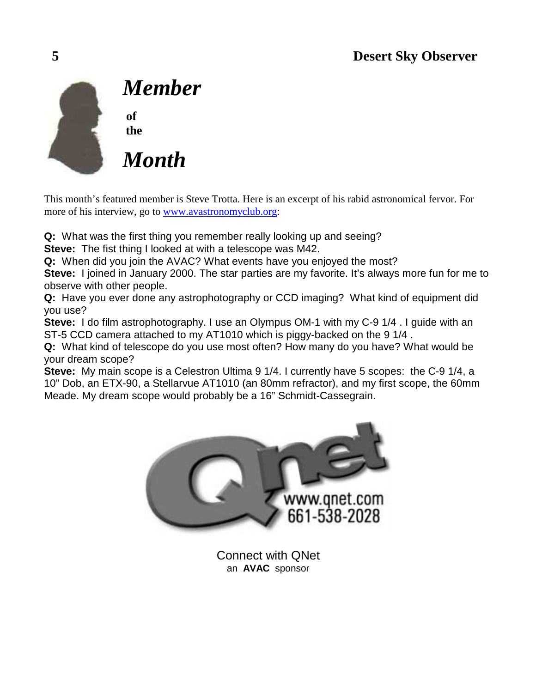

*Member* 

**of the** 

*Month* 

This month's featured member is Steve Trotta. Here is an excerpt of his rabid astronomical fervor. For more of his interview, go to [www.avastronomyclub.org:](http://www.avastronomyclub.org/)

**Q:** What was the first thing you remember really looking up and seeing?

**Steve:** The fist thing I looked at with a telescope was M42.

**Q:** When did you join the AVAC? What events have you enjoyed the most?

**Steve:** I joined in January 2000. The star parties are my favorite. It's always more fun for me to observe with other people.

**Q:** Have you ever done any astrophotography or CCD imaging? What kind of equipment did you use?

**Steve:** I do film astrophotography. I use an Olympus OM-1 with my C-9 1/4 . I guide with an ST-5 CCD camera attached to my AT1010 which is piggy-backed on the 9 1/4 .

**Q:** What kind of telescope do you use most often? How many do you have? What would be your dream scope?

**Steve:** My main scope is a Celestron Ultima 9 1/4. I currently have 5 scopes: the C-9 1/4, a 10" Dob, an ETX-90, a Stellarvue AT1010 (an 80mm refractor), and my first scope, the 60mm Meade. My dream scope would probably be a 16" Schmidt-Cassegrain.



Connect with QNet an **AVAC** sponsor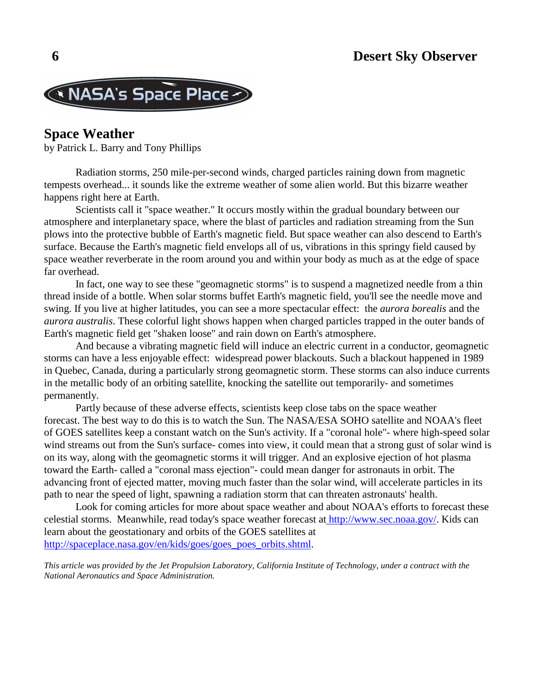

# **Space Weather**

by Patrick L. Barry and Tony Phillips

 Radiation storms, 250 mile-per-second winds, charged particles raining down from magnetic tempests overhead... it sounds like the extreme weather of some alien world. But this bizarre weather happens right here at Earth.

 Scientists call it "space weather." It occurs mostly within the gradual boundary between our atmosphere and interplanetary space, where the blast of particles and radiation streaming from the Sun plows into the protective bubble of Earth's magnetic field. But space weather can also descend to Earth's surface. Because the Earth's magnetic field envelops all of us, vibrations in this springy field caused by space weather reverberate in the room around you and within your body as much as at the edge of space far overhead.

 In fact, one way to see these "geomagnetic storms" is to suspend a magnetized needle from a thin thread inside of a bottle. When solar storms buffet Earth's magnetic field, you'll see the needle move and swing. If you live at higher latitudes, you can see a more spectacular effect: the *aurora borealis* and the *aurora australis*. These colorful light shows happen when charged particles trapped in the outer bands of Earth's magnetic field get "shaken loose" and rain down on Earth's atmosphere.

 And because a vibrating magnetic field will induce an electric current in a conductor, geomagnetic storms can have a less enjoyable effect: widespread power blackouts. Such a blackout happened in 1989 in Quebec, Canada, during a particularly strong geomagnetic storm. These storms can also induce currents in the metallic body of an orbiting satellite, knocking the satellite out temporarily- and sometimes permanently.

 Partly because of these adverse effects, scientists keep close tabs on the space weather forecast. The best way to do this is to watch the Sun. The NASA/ESA SOHO satellite and NOAA's fleet of GOES satellites keep a constant watch on the Sun's activity. If a "coronal hole"- where high-speed solar wind streams out from the Sun's surface- comes into view, it could mean that a strong gust of solar wind is on its way, along with the geomagnetic storms it will trigger. And an explosive ejection of hot plasma toward the Earth- called a "coronal mass ejection"- could mean danger for astronauts in orbit. The advancing front of ejected matter, moving much faster than the solar wind, will accelerate particles in its path to near the speed of light, spawning a radiation storm that can threaten astronauts' health.

 Look for coming articles for more about space weather and about NOAA's efforts to forecast these celestial storms. Meanwhile, read today's space weather forecast at [http://www.sec.noaa.gov/.](http://www.sec.noaa.gov/) Kids can learn about the geostationary and orbits of the GOES satellites at [http://spaceplace.nasa.gov/en/kids/goes/goes\\_poes\\_orbits.shtml.](http://spaceplace.nasa.gov/en/kids/goes/goes_poes_orbits.shtml)

*This article was provided by the Jet Propulsion Laboratory, California Institute of Technology, under a contract with the National Aeronautics and Space Administration.*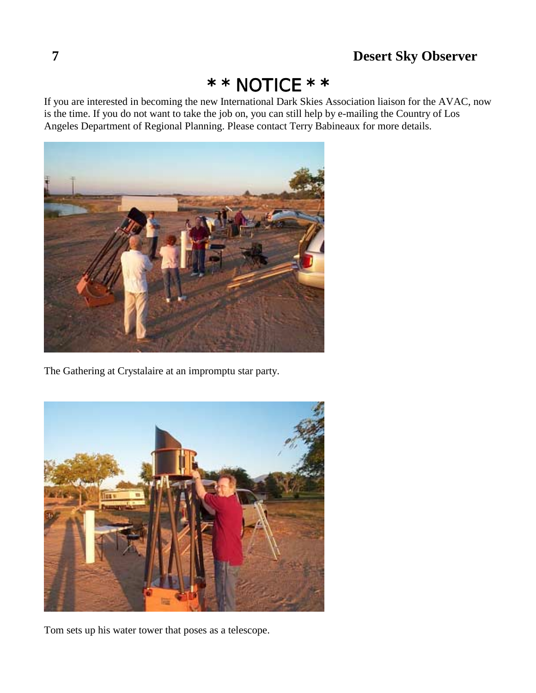# $*$  NOTICE  $* *$

If you are interested in becoming the new International Dark Skies Association liaison for the AVAC, now is the time. If you do not want to take the job on, you can still help by e-mailing the Country of Los Angeles Department of Regional Planning. Please contact Terry Babineaux for more details.



The Gathering at Crystalaire at an impromptu star party.



Tom sets up his water tower that poses as a telescope.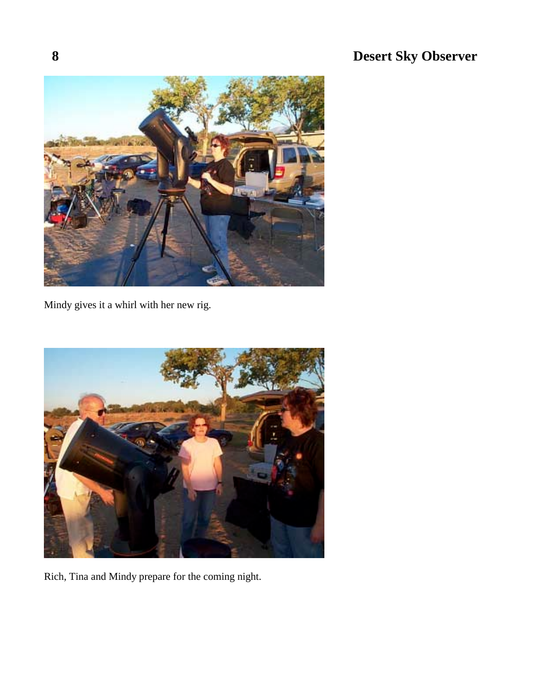

Mindy gives it a whirl with her new rig.



Rich, Tina and Mindy prepare for the coming night.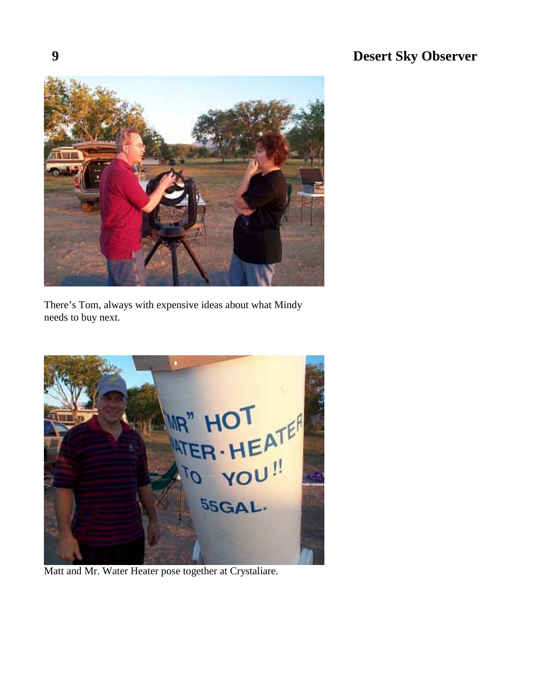

There's Tom, always with expensive ideas about what Mindy needs to buy next.



Matt and Mr. Water Heater pose together at Crystaliare.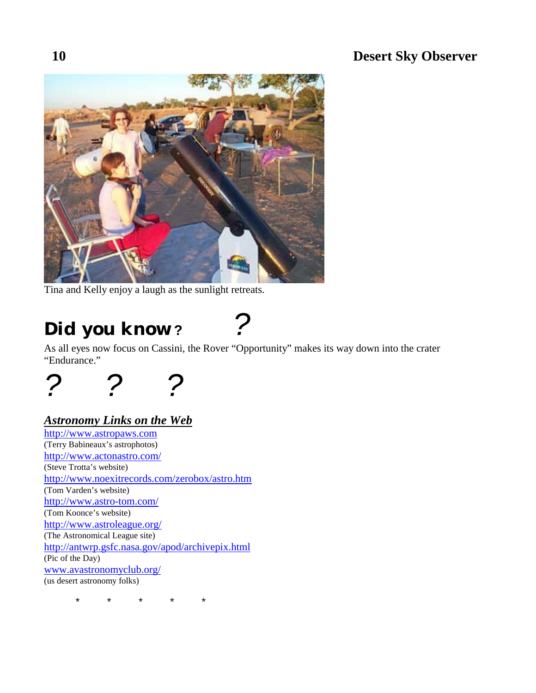

Tina and Kelly enjoy a laugh as the sunlight retreats.

# *Did you know* **?** *?*

As all eyes now focus on Cassini, the Rover "Opportunity" makes its way down into the crater "Endurance."



# *Astronomy Links on the Web*

[http://www.astropaws.com](http://www.astropaws.com/) (Terry Babineaux's astrophotos) <http://www.actonastro.com/> (Steve Trotta's website) <http://www.noexitrecords.com/zerobox/astro.htm> (Tom Varden's website) <http://www.astro-tom.com/> (Tom Koonce's website) <http://www.astroleague.org/> (The Astronomical League site) <http://antwrp.gsfc.nasa.gov/apod/archivepix.html> (Pic of the Day) [www.avastronomyclub.org/](http://www.avastronomyclub.org/) (us desert astronomy folks)

\* \* \* \* \*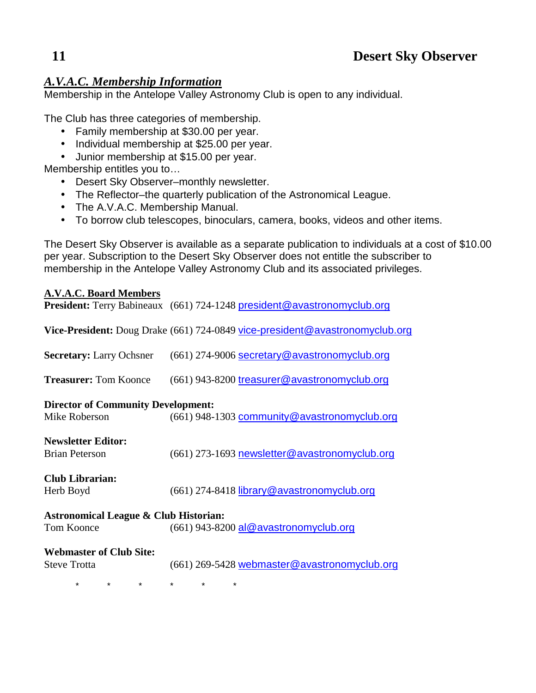# *A.V.A.C. Membership Information*

Membership in the Antelope Valley Astronomy Club is open to any individual.

The Club has three categories of membership.

- Family membership at \$30.00 per year.
- Individual membership at \$25.00 per year.
- Junior membership at \$15.00 per year.

Membership entitles you to…

- Desert Sky Observer–monthly newsletter.
- The Reflector–the quarterly publication of the Astronomical League.
- The A.V.A.C. Membership Manual.
- To borrow club telescopes, binoculars, camera, books, videos and other items.

The Desert Sky Observer is available as a separate publication to individuals at a cost of \$10.00 per year. Subscription to the Desert Sky Observer does not entitle the subscriber to membership in the Antelope Valley Astronomy Club and its associated privileges.

## **A.V.A.C. Board Members**

|                                                            | <b>President:</b> Terry Babineaux (661) 724-1248 president@avastronomyclub.org |
|------------------------------------------------------------|--------------------------------------------------------------------------------|
|                                                            | Vice-President: Doug Drake (661) 724-0849 vice-president@avastronomyclub.org   |
| <b>Secretary:</b> Larry Ochsner                            | (661) 274-9006 secretary@avastronomyclub.org                                   |
| <b>Treasurer: Tom Koonce</b>                               | (661) 943-8200 treasurer@avastronomyclub.org                                   |
| <b>Director of Community Development:</b><br>Mike Roberson | (661) 948-1303 community@avastronomyclub.org                                   |
| <b>Newsletter Editor:</b><br><b>Brian Peterson</b>         | (661) 273-1693 newsletter@avastronomyclub.org                                  |
| <b>Club Librarian:</b><br>Herb Boyd                        | (661) 274-8418 library@avastronomyclub.org                                     |
| <b>Astronomical League &amp; Club Historian:</b>           |                                                                                |
| <b>Tom Koonce</b>                                          | $(661)$ 943-8200 al@avastronomyclub.org                                        |
| <b>Webmaster of Club Site:</b><br><b>Steve Trotta</b>      | $(661)$ 269-5428 webmaster@avastronomyclub.org                                 |
| $\star$<br>$\star$<br>$\star$                              | $\star$<br>$\star$                                                             |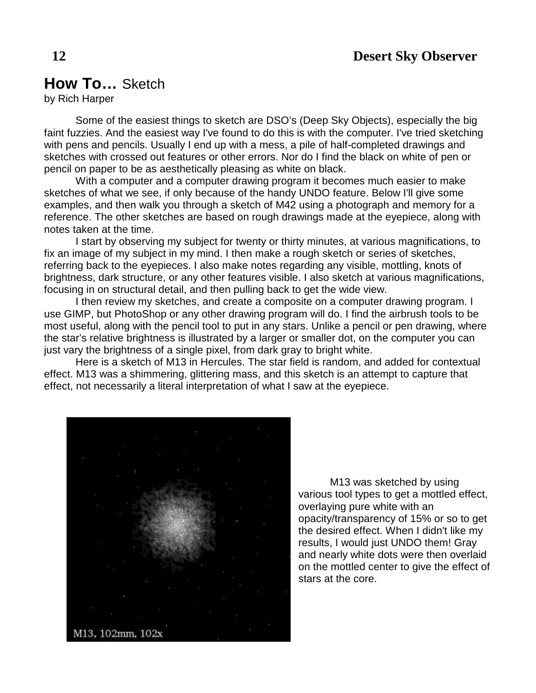# **How To…** Sketch

by Rich Harper

 Some of the easiest things to sketch are DSO's (Deep Sky Objects), especially the big faint fuzzies. And the easiest way I've found to do this is with the computer. I've tried sketching with pens and pencils. Usually I end up with a mess, a pile of half-completed drawings and sketches with crossed out features or other errors. Nor do I find the black on white of pen or pencil on paper to be as aesthetically pleasing as white on black.

 With a computer and a computer drawing program it becomes much easier to make sketches of what we see, if only because of the handy UNDO feature. Below I'll give some examples, and then walk you through a sketch of M42 using a photograph and memory for a reference. The other sketches are based on rough drawings made at the eyepiece, along with notes taken at the time.

 I start by observing my subject for twenty or thirty minutes, at various magnifications, to fix an image of my subject in my mind. I then make a rough sketch or series of sketches, referring back to the eyepieces. I also make notes regarding any visible, mottling, knots of brightness, dark structure, or any other features visible. I also sketch at various magnifications, focusing in on structural detail, and then pulling back to get the wide view.

 I then review my sketches, and create a composite on a computer drawing program. I use GIMP, but PhotoShop or any other drawing program will do. I find the airbrush tools to be most useful, along with the pencil tool to put in any stars. Unlike a pencil or pen drawing, where the star's relative brightness is illustrated by a larger or smaller dot, on the computer you can just vary the brightness of a single pixel, from dark gray to bright white.

 Here is a sketch of M13 in Hercules. The star field is random, and added for contextual effect. M13 was a shimmering, glittering mass, and this sketch is an attempt to capture that effect, not necessarily a literal interpretation of what I saw at the eyepiece.



 M13 was sketched by using various tool types to get a mottled effect, overlaying pure white with an opacity/transparency of 15% or so to get the desired effect. When I didn't like my results, I would just UNDO them! Gray and nearly white dots were then overlaid on the mottled center to give the effect of stars at the core.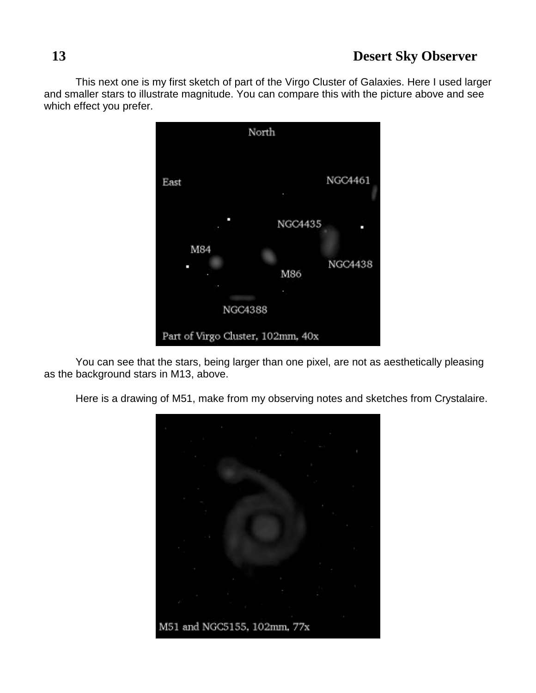This next one is my first sketch of part of the Virgo Cluster of Galaxies. Here I used larger and smaller stars to illustrate magnitude. You can compare this with the picture above and see which effect you prefer.



 You can see that the stars, being larger than one pixel, are not as aesthetically pleasing as the background stars in M13, above.

Here is a drawing of M51, make from my observing notes and sketches from Crystalaire.

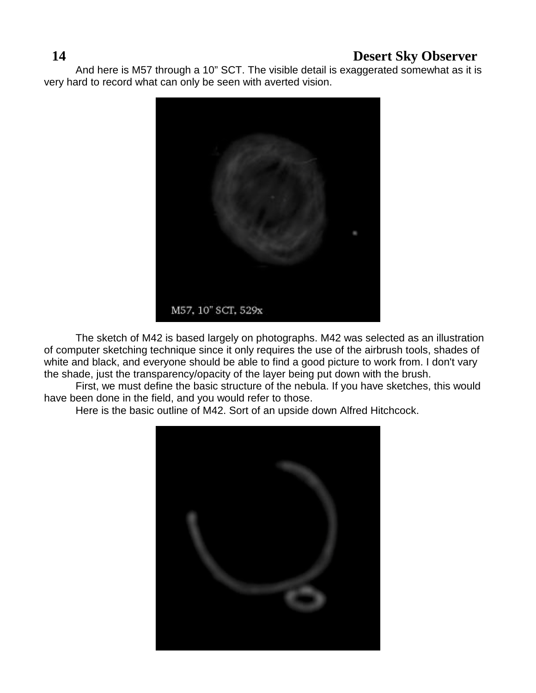And here is M57 through a 10" SCT. The visible detail is exaggerated somewhat as it is very hard to record what can only be seen with averted vision.



 The sketch of M42 is based largely on photographs. M42 was selected as an illustration of computer sketching technique since it only requires the use of the airbrush tools, shades of white and black, and everyone should be able to find a good picture to work from. I don't vary the shade, just the transparency/opacity of the layer being put down with the brush.

 First, we must define the basic structure of the nebula. If you have sketches, this would have been done in the field, and you would refer to those.

Here is the basic outline of M42. Sort of an upside down Alfred Hitchcock.

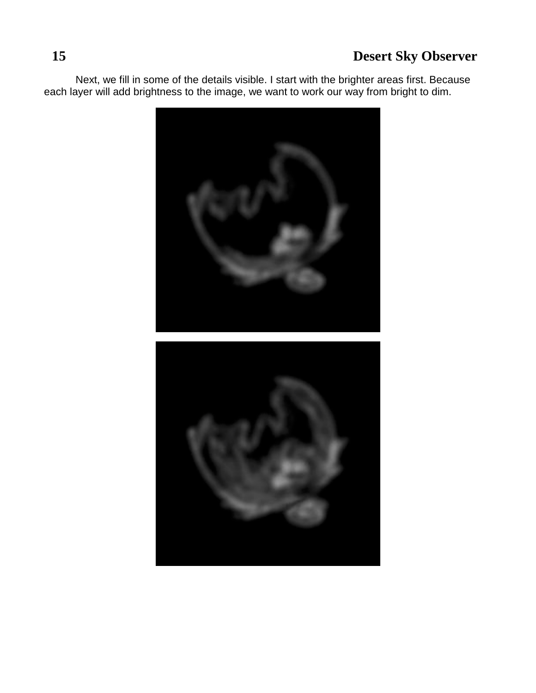Next, we fill in some of the details visible. I start with the brighter areas first. Because each layer will add brightness to the image, we want to work our way from bright to dim.

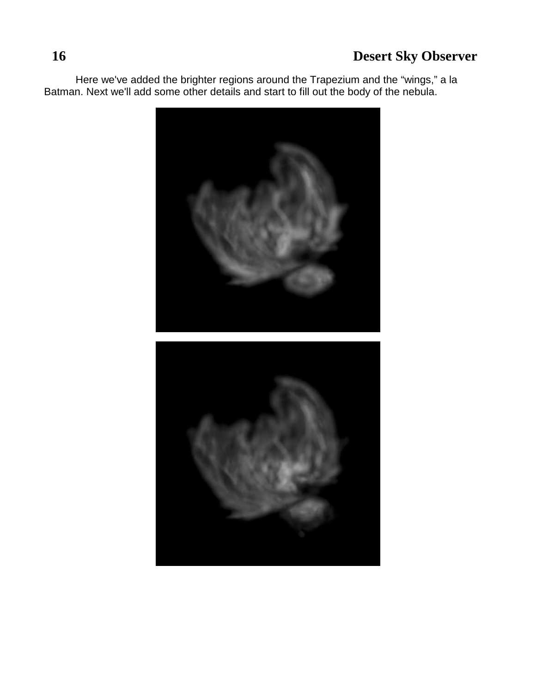Here we've added the brighter regions around the Trapezium and the "wings," a la Batman. Next we'll add some other details and start to fill out the body of the nebula.